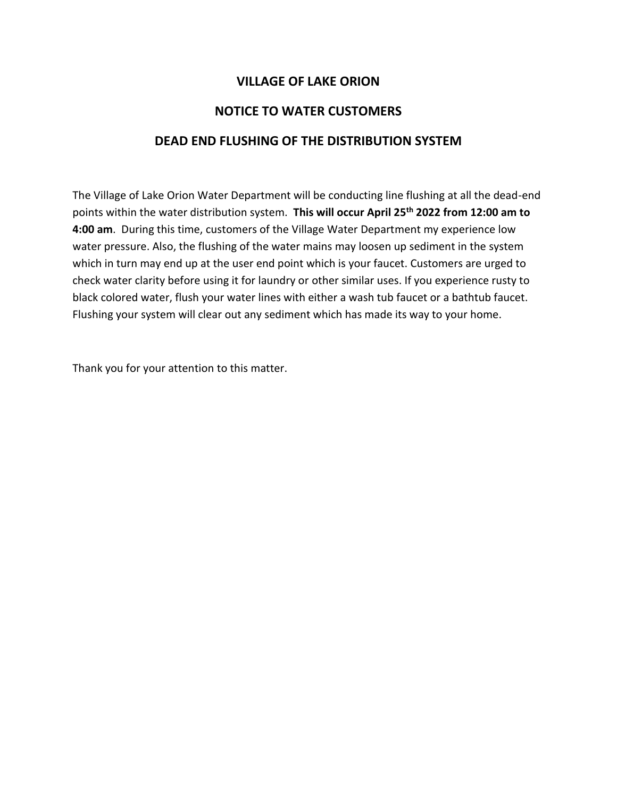## **VILLAGE OF LAKE ORION**

## **NOTICE TO WATER CUSTOMERS**

## **DEAD END FLUSHING OF THE DISTRIBUTION SYSTEM**

The Village of Lake Orion Water Department will be conducting line flushing at all the dead-end points within the water distribution system. **This will occur April 25th 2022 from 12:00 am to 4:00 am**. During this time, customers of the Village Water Department my experience low water pressure. Also, the flushing of the water mains may loosen up sediment in the system which in turn may end up at the user end point which is your faucet. Customers are urged to check water clarity before using it for laundry or other similar uses. If you experience rusty to black colored water, flush your water lines with either a wash tub faucet or a bathtub faucet. Flushing your system will clear out any sediment which has made its way to your home.

Thank you for your attention to this matter.